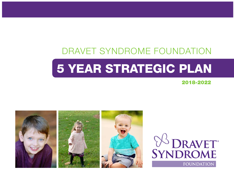## DRAVET SYNDROME FOUNDATION

# 5 YEAR STRATEGIC PLAN

2018-2022



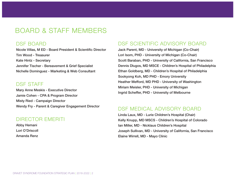## BOARD & STAFF MEMBERS

#### DSF BOARD

Nicole Villas, M ED - Board President & Scientific Director Tim Wood - Treasurer Kate Hintz - Secretary Jennifer Tischer - Bereavement & Grief Specialist Nichelle Dominguez - Marketing & Web Consultant

#### DSF STAFF

Mary Anne Meskis - Executive Director Jamie Cohen - CPA & Program Director Misty Ried - Campaign Director Wendy Fry - Parent & Caregiver Engagement Director

#### DIRECTOR EMERITI

Abby Hemani Lori O'Driscoll Amanda Renz

#### DSF SCIENTIFIC ADVISORY BOARD

Jack Parent, MD - University of Michigan (Co-Chair) Lori Isom, PHD - University of Michigan (Co-Chair) Scott Baraban, PHD - University of California, San Francisco Dennis Dlugos, MD MSCE - Children's Hospital of Philadelphia Ethan Goldberg, MD - Children's Hospital of Philadelphia Sookyong Koh, MD PHD - Emory University Heather Mefford, MD PHD - University of Washington Miriam Meisler, PHD - University of Michigan Ingrid Scheffer, PHD - University of Melbourne

#### DSF MEDICAL ADVISORY BOARD

Linda Laux, MD - Lurie Children's Hospital (Chair) Kelly Knupp, MD MSCS - Children's Hospital of Colorado Ian Miller, MD - Nicklaus Children's Hospital Joseph Sullivan, MD - University of California, San Francisco Elaine Wirrell, MD - Mayo Clinic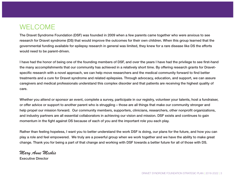#### WELCOME

The Dravet Syndrome Foundation (DSF) was founded in 2009 when a few parents came together who were anxious to see research for Dravet syndrome (DS) that would improve the outcomes for their own children. When this group learned that the governmental funding available for epilepsy research in general was limited, they knew for a rare disease like DS the efforts would need to be parent-driven.

I have had the honor of being one of the founding members of DSF, and over the years I have had the privilege to see first-hand the many accomplishments that our community has achieved in a relatively short time. By offering research grants for Dravetspecific research with a novel approach, we can help move researchers and the medical community forward to find better treatments and a cure for Dravet syndrome and related epilepsies. Through advocacy, education, and support, we can assure caregivers and medical professionals understand this complex disorder and that patients are receiving the highest quality of care.

Whether you attend or sponsor an event, complete a survey, participate in our registry, volunteer your talents, host a fundraiser, or offer advice or support to another parent who is struggling – those are all things that make our community stronger and help propel our mission forward. Our community members, supporters, clinicians, researchers, other nonprofit organizations, and industry partners are all essential collaborators in achieving our vision and mission. DSF exists and continues to gain momentum in the fight against DS because of each of you and the important role you each play.

Rather than feeling hopeless, I want you to better understand the work DSF is doing, our plans for the future, and how you can play a role and feel empowered. We truly are a powerful group when we work together and we have the ability to make great change. Thank you for being a part of that change and working with DSF towards a better future for all of those with DS.

*Mary Anne Meskis* 

Executive Director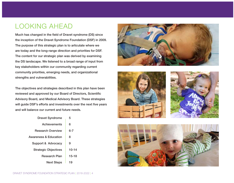## LOOKING AHEAD

Much has changed in the field of Dravet syndrome (DS) since the inception of the Dravet Syndrome Foundation (DSF) in 2009. The purpose of this strategic plan is to articulate where we are today and the long-range direction and priorities for DSF. The content for our strategic plan was derived by examining the DS landscape. We listened to a broad range of input from key stakeholders within our community regarding current community priorities, emerging needs, and organizational strengths and vulnerabilities.

The objectives and strategies described in this plan have been reviewed and approved by our Board of Directors, Scientific Advisory Board, and Medical Advisory Board. These strategies will guide DSF's efforts and investments over the next five years and will balance our current and future needs.

| <b>Dravet Syndrome</b>      | 5         |
|-----------------------------|-----------|
| Achievements                | 6         |
| <b>Research Overview</b>    | հ-7       |
| Awareness & Education       | 8         |
| Support & Advocacy          | 9         |
| <b>Strategic Objectives</b> | $10 - 14$ |
| Research Plan               | 15-18     |
| <b>Next Steps</b>           | 19        |







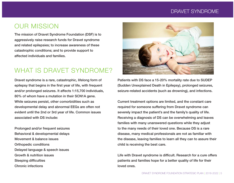#### DRAVET SYNDROME

#### OUR MISSION

The mission of Dravet Syndrome Foundation (DSF) is to aggressively raise research funds for Dravet syndrome and related epilepsies; to increase awareness of these catastrophic conditions; and to provide support to affected individuals and families.

#### WHAT IS DRAVET SYNDROME?

Dravet syndrome is a rare, catastrophic, lifelong form of epilepsy that begins in the first year of life, with frequent and/or prolonged seizures. It affects 1:15,700 individuals, 80% of whom have a mutation in their SCN1A gene. While seizures persist, other comorbidities such as developmental delay and abnormal EEGs are often not evident until the 2nd or 3rd year of life. Common issues associated with DS include:

Prolonged and/or frequent seizures Behavioral & developmental delays Movement & balance issues Orthopedic conditions Delayed language & speech issues Growth & nutrition issues Sleeping difficulties Chronic infections



Patients with DS face a 15-20% mortality rate due to SUDEP (Sudden Unexplained Death in Epilepsy), prolonged seizures, seizure-related accidents (such as drowning), and infections.

Current treatment options are limited, and the constant care required for someone suffering from Dravet syndrome can severely impact the patient's and the family's quality of life. Receiving a diagnosis of DS can be overwhelming and leaves families with many unanswered questions while they adjust to the many needs of their loved one. Because DS is a rare disease, many medical professionals are not as familiar with the disease, leaving families to learn all they can to assure their child is receiving the best care.

Life with Dravet syndrome is difficult. Research for a cure offers patients and families hope for a better quality of life for their loved ones.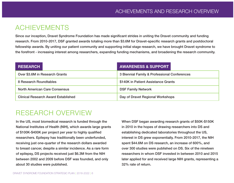### ACHIEVEMENTS

Since our inception, Dravet Syndrome Foundation has made significant strides in uniting the Dravet community and funding research. From 2010-2017, DSF granted awards totaling more than \$3.6M for Dravet-specific research grants and postdoctoral fellowship awards. By uniting our patient community and supporting initial stage research, we have brought Dravet syndrome to the forefront - increasing interest among researchers, expanding funding mechanisms, and broadening the research community.

| <b>RESEARCH</b>                            | <b>AWARENESS &amp; SUPPORT</b>               |
|--------------------------------------------|----------------------------------------------|
| Over \$3.6M in Research Grants             | 3 Biennial Family & Professional Conferences |
| 8 Research Roundtables                     | \$140K in Patient Assistance Grants          |
| <b>North American Care Consensus</b>       | <b>DSF Family Network</b>                    |
| <b>Clinical Research Award Established</b> | Day of Dravet Regional Workshops             |

#### RESEARCH OVERVIEW

In the US, most biomedical research is funded through the National Institutes of Health (NIH), which awards large grants of \$100K-\$400K per project per year to highly qualified researchers. Epilepsy has traditionally been underfunded, receiving just one-quarter of the research dollars awarded to breast cancer, despite a similar incidence. As a rare form of epilepsy, DS projects received just \$6.3M from the NIH between 2002 and 2009 before DSF was founded, and only about 30 studies were published.

When DSF began awarding research grants of \$50K-\$150K in 2010 in the hopes of drawing researchers into DS and establishing dedicated laboratories throughout the US, interest in DS grew exponentially. From 2010-2017, the NIH spent \$44.6M on DS research, an increase of 600%, and over 300 studies were published on DS. Six of the nineteen researchers in whom DSF invested in between 2010 and 2015 later applied for and received large NIH grants, representing a 32% rate of return.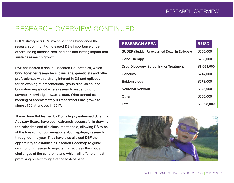#### RESEARCH OVERVIEW CONTINUED

DSF's strategic \$3.6M investment has broadened the research community, increased DS's importance under other funding mechanisms, and has had lasting impact that sustains research growth.

DSF has hosted 8 annual Research Roundtables, which bring together researchers, clinicians, geneticists and other professionals with a strong interest in DS and epilepsy for an evening of presentations, group discussion, and brainstorming about where research needs to go to advance knowledge toward a cure. What started as a meeting of approximately 30 researchers has grown to almost 150 attendees in 2017.

These Roundtables, led by DSF's highly esteemed Scientific Advisory Board, have been extremely successful in drawing top scientists and clinicians into the fold, allowing DS to be at the forefront of conversations about epilepsy research throughout the year. They have also allowed DSF the opportunity to establish a Research Roadmap to guide us in funding research projects that address the critical challenges of the syndrome and which will offer the most promising breakthroughs at the fastest pace.

| <b>RESEARCH AREA</b>                                | \$USD       |
|-----------------------------------------------------|-------------|
| <b>SUDEP (Sudden Unexplained Death in Epilepsy)</b> | \$300,000   |
| <b>Gene Therapy</b>                                 | \$703,000   |
| Drug Discovery, Screening or Treatment              | \$1,063,000 |
| <b>Genetics</b>                                     | \$714,000   |
| Epidemiology                                        | \$273,000   |
| <b>Neuronal Network</b>                             | \$345,000   |
| Other                                               | \$300,000   |
| <b>Total</b>                                        | \$3,698,000 |

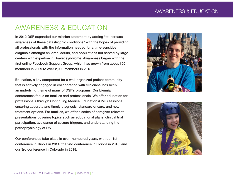#### AWARENESS & EDUCATION

In 2012 DSF expanded our mission statement by adding "to increase awareness of these catastrophic conditions" with the hopes of providing all professionals with the information needed for a time-sensitive diagnosis amongst children, adults, and populations not served by large centers with expertise in Dravet syndrome. Awareness began with the first online Facebook Support Group, which has grown from about 100 members in 2009 to over 2,000 members in 2018.

Education, a key component for a well-organized patient community that is actively engaged in collaboration with clinicians, has been an underlying theme of many of DSF's programs. Our biennial conferences focus on families and professionals. We offer education for professionals through Continuing Medical Education (CME) sessions, ensuring accurate and timely diagnosis, standard of care, and new treatment options. For families, we offer a series of caregiver-relevant presentations covering topics such as educational plans, clinical trial participation, avoidance of seizure triggers, and understanding the pathophysiology of DS.

Our conferences take place in even-numbered years, with our 1st conference in Illinois in 2014; the 2nd conference in Florida in 2016; and our 3rd conference in Colorado in 2018.



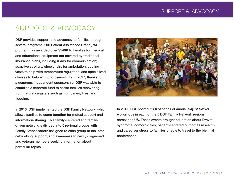#### SUPPORT & ADVOCACY

DSF provides support and advocacy to families through several programs. Our Patient Assistance Grant (PAG) program has awarded over \$140K to families for medical and educational equipment not covered by traditional insurance plans, including iPads for communication; adaptive strollers/wheelchairs for ambulation; cooling vests to help with temperature regulation; and specialized glasses to help with photosensitivity. In 2017, thanks to a generous independent sponsorship, DSF was able to establish a separate fund to assist families recovering from natural disasters such as hurricanes, fires, and flooding.

In 2016, DSF implemented the DSF Family Network, which allows families to come together for mutual support and information-sharing. This family-centered and familydriven network is divided into 5 regional groups with Family Ambassadors assigned to each group to facilitate networking, support, and awareness to newly diagnosed and veteran members seeking information about particular topics.



In 2017, DSF hosted it's first series of annual Day of Dravet workshops in each of the 5 DSF Family Network regions across the US. These events brought education about Dravet syndrome, comorbidities, patient-centered outcomes research, and caregiver stress to families unable to travel to the biennial conferences.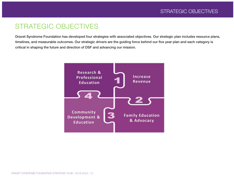#### STRATEGIC OBJECTIVES

Dravet Syndrome Foundation has developed four strategies with associated objectives. Our strategic plan includes resource plans, timelines, and measurable outcomes. Our strategic drivers are the guiding force behind our five year plan and each category is critical in shaping the future and direction of DSF and advancing our mission.

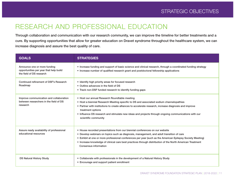## RESEARCH AND PROFESSIONAL EDUCATION

Through collaboration and communication with our research community, we can improve the timeline for better treatments and a cure. By supporting opportunities that allow for greater education on Dravet syndrome throughout the healthcare system, we can increase diagnosis and assure the best quality of care.

| <b>GOALS</b>                                                                                       | <b>STRATEGIES</b>                                                                                                                                                                                                                                                                                                                                                                                                                  |
|----------------------------------------------------------------------------------------------------|------------------------------------------------------------------------------------------------------------------------------------------------------------------------------------------------------------------------------------------------------------------------------------------------------------------------------------------------------------------------------------------------------------------------------------|
| Announce one or more funding<br>opportunities per year that help build<br>the field of DS research | • Increase funding and support of basic science and clinical research, through a coordinated funding strategy<br>• Increase number of qualified research grant and postdoctoral fellowship applications                                                                                                                                                                                                                            |
| Continued refinement of DSF's Research<br>Roadmap                                                  | • Identify high priority areas for focused research<br>• Outline advances in the field of DS<br>• Track non-DSF funded research to identify funding gaps                                                                                                                                                                                                                                                                           |
| Improve communication and collaboration<br>between researchers in the field of DS<br>research      | • Host our annual Research Roundtable meeting<br>• Host a biennial Research Meeting specific to DS and associated sodium channelopathies<br>• Partner with institutions to create alliances to accelerate research, increase diagnosis and improve<br>treatment options<br>• Influence DS research and stimulate new ideas and projects through ongoing communications with our<br>scientific community                            |
| Assure ready availability of professional<br>educational resources                                 | • House recorded presentations from our biennial conferences on our website<br>• Develop webinars on topics such as diagnosis, management, and adult transition of care<br>• Exhibit at one or more professional conferences per year (such as the American Epilepsy Society Meeting)<br>• Increase knowledge of clinical care best practices through distribution of the North American Treatment<br><b>Consensus information</b> |
| <b>DS Natural History Study</b>                                                                    | • Collaborate with professionals in the development of a Natural History Study<br>• Encourage and support patient enrollment                                                                                                                                                                                                                                                                                                       |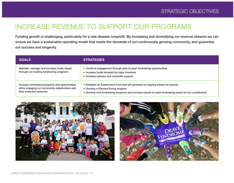## INCREASE REVENUE TO SUPPORT OUR PROGRAMS

Funding growth is challenging, particularly for a rare disease nonprofit. By increasing and diversifying our revenue streams we can ensure we have a sustainable operating model that meets the demands of our continuously growing community, and guarantee our success and longevity.

| <b>GOALS</b>                                                                                                                | <b>STRATEGIES</b>                                                                                                                                                                                                             |
|-----------------------------------------------------------------------------------------------------------------------------|-------------------------------------------------------------------------------------------------------------------------------------------------------------------------------------------------------------------------------|
| Maintain, manage, and increase funds raised<br>through our existing fundraising programs                                    | • Continue engagement through peer-to-peer fundraising opportunities<br>• Increase funds donated by major investors<br>• Increase industry and corporate support                                                              |
| Increase fundraising programs and opportunities<br>while engaging our community stakeholders and<br>their extended networks | • Establish an Endowment Fund that will generate an ongoing stream of revenue<br>• Develop a Planned Giving program<br>• Develop new fundraising programs and increase events to make fundraising easier for our constituents |



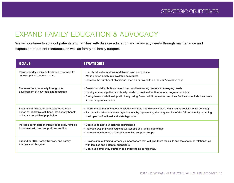#### EXPAND FAMILY EDUCATION & ADVOCACY

We will continue to support patients and families with disease education and advocacy needs through maintenance and expansion of patient resources, as well as family-to-family support.

| <b>GOALS</b>                                                                                                                           | <b>STRATEGIES</b>                                                                                                                                                                                                                                                                                                               |
|----------------------------------------------------------------------------------------------------------------------------------------|---------------------------------------------------------------------------------------------------------------------------------------------------------------------------------------------------------------------------------------------------------------------------------------------------------------------------------|
| Provide readily available tools and resources to<br>improve patient access of care                                                     | • Supply educational downloadable pdfs on our website<br>• Make printed brochures available on request<br>• Increase the number of physicians listed on our website on the Find a Doctor page                                                                                                                                   |
| Empower our community through the<br>development of new tools and resources                                                            | • Develop and distribute surveys to respond to evolving issues and emerging needs<br>• Identify common patient and family needs to provide direction for our program priorities<br>• Strengthen our relationship with the growing Dravet adult population and their families to include their voice<br>in our program evolution |
| Engage and advocate, when appropriate, on<br>behalf of legislative solutions that directly benefit<br>or impact our patient population | • Inform the community about legislative changes that directly affect them (such as social service benefits)<br>• Partner with other advocacy organizations by representing the unique voice of the DS community regarding<br>the impacts of national and state legislation                                                     |
| Increase our in-person initiatives to allow families<br>to connect with and support one another                                        | • Continue to host our biennial conferences<br>• Increase <i>Day of Dravet</i> regional workshops and familly gatherings<br>• Increase membership of our private online support groups                                                                                                                                          |
| Expand our DSF Family Network and Family<br>Ambassador Program                                                                         | • Provide annual training for family ambassadors that will give them the skills and tools to build relationships<br>with families and potential supporters<br>• Continue community outreach to connect families regionally                                                                                                      |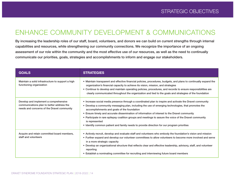#### ENHANCE COMMUNITY DEVELOPMENT & COMMUNICATIONS

By increasing the leadership roles of our staff, board, volunteers, and donors we can build on current strengths through internal capabilities and resources, while strengthening our community connections. We recognize the importance of an ongoing assessment of our role within the community and the most effective use of our resources, as well as the need to continually communicate our priorities, goals, strategies and accomplishments to inform and engage our stakeholders.

| <b>GOALS</b>                                                                                                                     | <b>STRATEGIES</b>                                                                                                                                                                                                                                                                                                                                                                                                                                                                                                                                                                           |
|----------------------------------------------------------------------------------------------------------------------------------|---------------------------------------------------------------------------------------------------------------------------------------------------------------------------------------------------------------------------------------------------------------------------------------------------------------------------------------------------------------------------------------------------------------------------------------------------------------------------------------------------------------------------------------------------------------------------------------------|
| Maintain a solid infrastructure to support a high<br>functioning organization                                                    | • Maintain transparent and effective financial policies, procedures, budgets, and plans to continually expand the<br>organization's financial capacity to achieve its vision, mission, and strategies<br>• Continue to develop and maintain operating policies, procedures, and records to ensure responsibilities are<br>clearly communicated throughout the organization and tied to the goals and strategies of the foundation                                                                                                                                                           |
| Develop and implement a comprehensive<br>communications plan to better address the<br>needs and concerns of the Dravet community | • Increase social media presence through a coordinated plan to inspire and activate the Dravet community<br>• Develop a community messaging plan, including the use of emerging technologies, that promotes the<br>accomplishments and goals of the foundation<br>• Ensure timely and accurate dissemination of information of interest to the Dravet community<br>• Participate in rare epilepsy coalition groups and meetings to assure the voice of the Dravet community<br>is represented<br>• Identify common patient and family needs to provide direction for our program priorities |
| Acquire and retain committed board members,<br>staff and volunteers                                                              | • Actively recruit, develop and evaluate staff and volunteers who embody the foundation's vision and mission<br>• Further expand and develop our volunteer committees to allow volunteers to become more involved and serve<br>in a more strategic capacity<br>• Develop an organizational structure that reflects clear and effective leadership, advisory, staff, and volunteer<br>reporting<br>• Establish a nominating committee for recruiting and interviewing future board members                                                                                                   |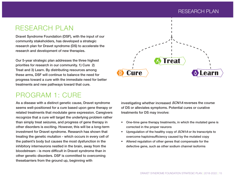#### RESEARCH PLAN

#### RESEARCH PLAN

Dravet Syndrome Foundation (DSF), with the input of our community stakeholders, has developed a strategic research plan for Dravet syndrome (DS) to accelerate the research and development of new therapies.

Our 5-year strategic plan addresses the three highest priorities for research in our community. 1) Cure 2) Treat and 3) Learn. By distributing resources among these arms, DSF will continue to balance the need for progress toward a cure with the immediate need for better treatments and new pathways toward that cure.

#### PROGRAM 1: CURE

As a disease with a distinct genetic cause, Dravet syndrome seems well-positioned for a cure based upon gene therapy or related treatments that modulate gene expression. Caregivers recognize that a cure will target the underlying problem rather than simply treat seizures, and progress of gene therapy in other disorders is exciting. However, this will be a long-term investment for Dravet syndrome. Research has shown that treating the genetic mutation - which occurs in every cell of the patient's body but causes the most dysfunction in the inhibitory interneurons nestled in the brain, away from the bloodstream - is more difficult in Dravet syndrome than in other genetic disorders. DSF is committed to overcoming thesebarriers from the ground up, beginning with



investigating whether increased SCN1A reverses the course of DS or alleviates symptoms. Potential cures or curative treatments for DS may involve:

- One-time gene therapy treatments, in which the mutated gene is corrected in the proper neurons
- Upregulation of the healthy copy of *SCN1A* or its transcripts to overcome haploinsufficiency caused by the mutated copy
- Altered regulation of other genes that compensate for the defective gene, such as other sodium channel isoforms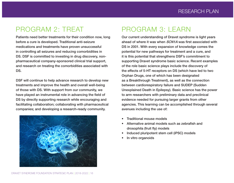#### PROGRAM 2: TREAT

Patients need better treatments for their condition now, long before a cure is developed. Traditional anti-seizure medications and treatments have proven unsuccessful in controlling all seizures and reducing comorbidities in DS. DSF is committed to investing in drug discovery, nonpharmaceutical company-sponsored clinical trial support, and research on treating the comorbidities associated with DS.

DSF will continue to help advance research to develop new treatments and improve the health and overall well-being of those with DS. With support from our community, we have played an instrumental role in advancing the field of DS by directly supporting research while encouraging and facilitating collaboration; collaborating with pharmaceutical companies; and developing a research-ready community.



## PROGRAM 3: LEARN

Our current understanding of Dravet syndrome is light years ahead of where it was when SCN1A was first associated with DS in 2001. With every expansion of knowledge comes the potential for new pathways for treatment and a cure, and it is this potential that strengthens DSF's commitment to supporting Dravet syndrome basic science. Recent examples of the role basic science plays include the discovery of the effects of 5-HT receptors on DS (which have led to two Orphan Drugs, one of which has been designated as a Breakthrough Treatment), as well as the connection between cardiorespiratory failure and SUDEP (Sudden Unexplained Death in Epilepsy). Basic science has the power to arm researchers with preliminary data and preclinical evidence needed for pursuing larger grants from other agencies. This learning can be accomplished through several avenues including the use of:

- Traditional mouse models
- Alternative animal models such as zebrafish and drosophila (fruit fly) models
- Induced pluripotent stem cell (iPSC) models
- In vitro organoids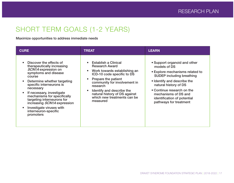## SHORT TERM GOALS (1-2 YEARS)

Maximize opportunities to address immediate needs

| <b>CURE</b>                                                                                                                                                                                                                                                                                                                                                                                                                    | <b>TREAT</b>                                                                                                                                                                                                                                                                                                                          | <b>LEARN</b>                                                                                                                                                                                                                                                                               |
|--------------------------------------------------------------------------------------------------------------------------------------------------------------------------------------------------------------------------------------------------------------------------------------------------------------------------------------------------------------------------------------------------------------------------------|---------------------------------------------------------------------------------------------------------------------------------------------------------------------------------------------------------------------------------------------------------------------------------------------------------------------------------------|--------------------------------------------------------------------------------------------------------------------------------------------------------------------------------------------------------------------------------------------------------------------------------------------|
| Discover the effects of<br>therapeutically increasing<br>SCN1A expression on<br>symptoms and disease<br>course<br>Determine whether targeting<br>$\bullet$<br>specific interneurons is<br>necessary<br>If necessary, investigate<br>$\bullet$<br>mechanisms for specifically<br>targeting interneurons for<br>increasing <i>SCN1A</i> expression<br>Investigate viruses with<br>$\bullet$<br>interneuron-specific<br>promoters | <b>Establish a Clinical</b><br><b>Research Award</b><br>Work towards establishing an<br>$\bullet$<br>ICD-10 code specific to DS<br>Prepare the patient<br>$\bullet$<br>community for involvement in<br>research<br>Identify and describe the<br>$\bullet$<br>natural history of DS against<br>which new treatments can be<br>measured | • Support organoid and other<br>models of DS<br>• Explore mechanisms related to<br><b>SUDEP</b> including breathing<br>• Identify and describe the<br>natural history of DS<br>• Continue research on the<br>mechanisms of DS and<br>identification of potential<br>pathways for treatment |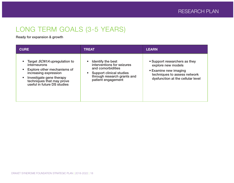## LONG TERM GOALS (3-5 YEARS)

Ready for expansion & growth

| <b>CURE</b>                                                                                                                                                                                         | <b>TREAT</b>                                                                                                                                                        | <b>LEARN</b>                                                                                                                                      |
|-----------------------------------------------------------------------------------------------------------------------------------------------------------------------------------------------------|---------------------------------------------------------------------------------------------------------------------------------------------------------------------|---------------------------------------------------------------------------------------------------------------------------------------------------|
| Target <i>SCN1A</i> upregulation to<br>interneurons<br>Explore other mechanisms of<br>increasing expression<br>Investigate gene therapy<br>techniques that may prove<br>useful in future DS studies | <b>Identify the best</b><br>interventions for seizures<br>and comorbidities<br><b>Support clinical studies</b><br>through research grants and<br>patient engagement | • Support researchers as they<br>explore new models<br>• Examine new imaging<br>techniques to assess network<br>dysfunction at the cellular level |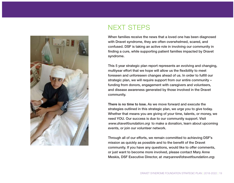

## NEXT STEPS

When families receive the news that a loved one has been diagnosed with Dravet syndrome, they are often overwhelmed, scared, and confused. DSF is taking an active role in involving our community in finding a cure, while supporting patient families impacted by Dravet syndrome.

This 5 year strategic plan report represents an evolving and changing, multiyear effort that we hope will allow us the flexibility to meet foreseen and unforeseen changes ahead of us. In order to fulfill our strategic plan, we will require support from our entire community – funding from donors, engagement with caregivers and volunteers, and disease awareness generated by those involved in the Dravet community.

There is no time to lose. As we move forward and execute the strategies outlined in this strategic plan, we urge you to give today. Whether that means you are giving of your time, talents, or money, we need YOU. Our success is due to our community support. Visit www.dravetfoundation.org to make a donation, learn about upcoming events, or join our volunteer network.

Through all of our efforts, we remain committed to achieving DSF's mission as quickly as possible and to the benefit of the Dravet community. If you have any questions, would like to offer comments, or just want to become more involved, please contact Mary Anne Meskis, DSF Executive Director, at maryanne@dravetfoundation.org.